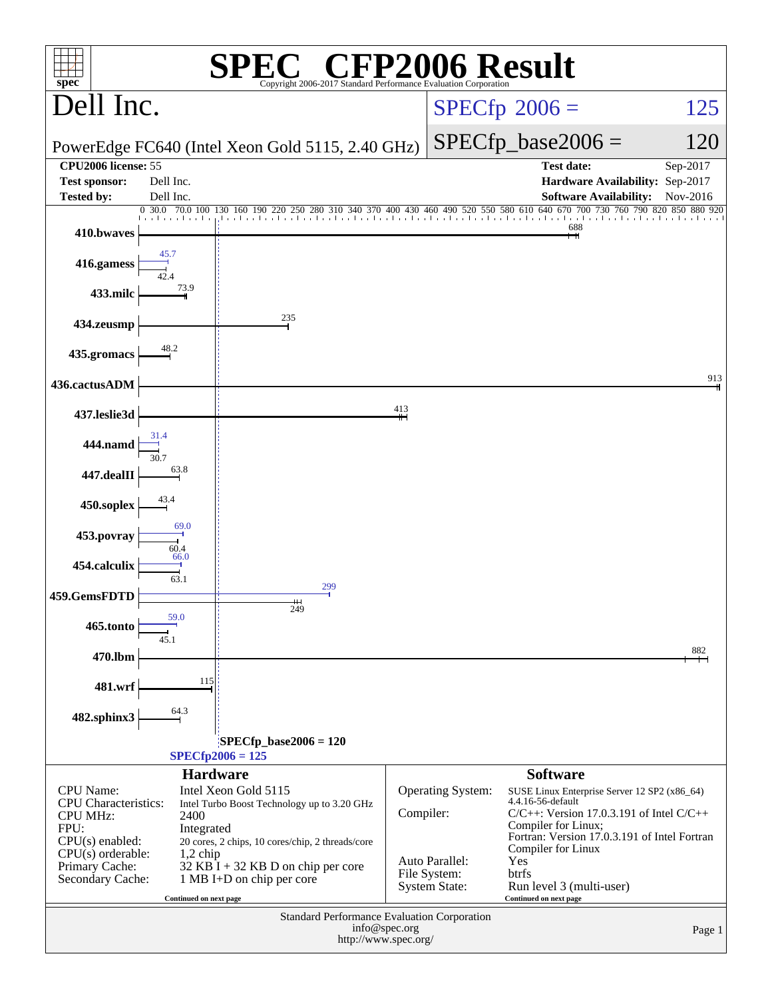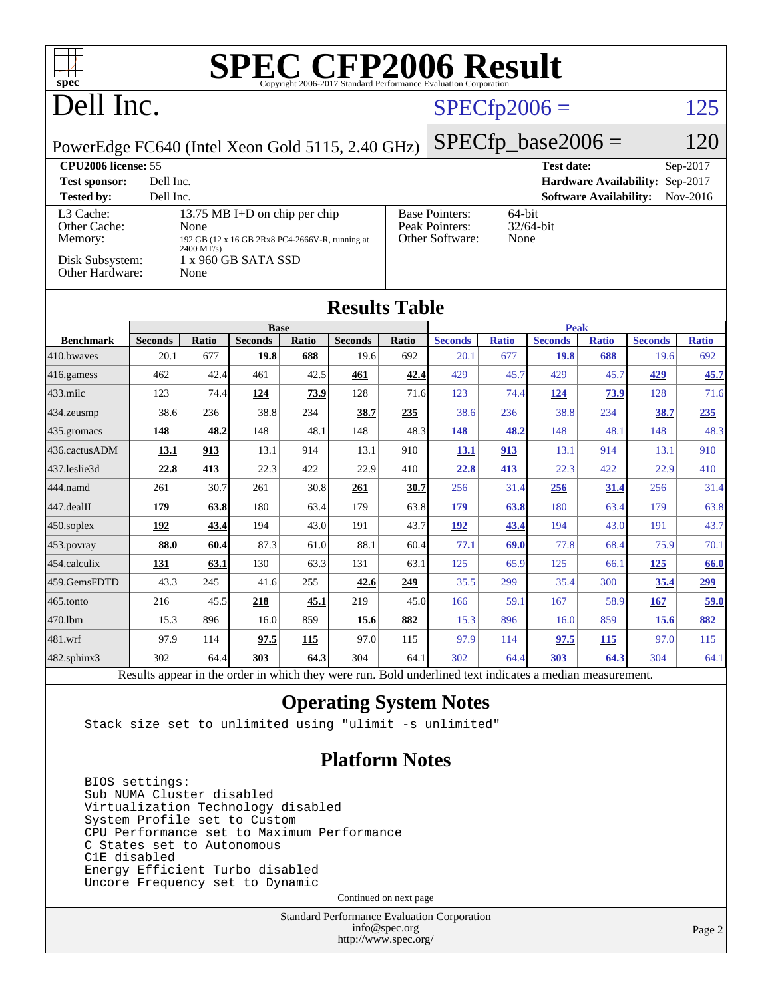| $spec^*$                                         |                        |                     |                                                 |                     |                        |              | <b>SPEC CFP2006 Result</b><br>Copyright 2006-2017 Standard Performance Evaluation Corporation            |                     |                        |                               |                                 |                     |
|--------------------------------------------------|------------------------|---------------------|-------------------------------------------------|---------------------|------------------------|--------------|----------------------------------------------------------------------------------------------------------|---------------------|------------------------|-------------------------------|---------------------------------|---------------------|
| Dell Inc.                                        |                        |                     |                                                 |                     |                        |              | $SPECfp2006 =$                                                                                           |                     |                        |                               |                                 | 125                 |
|                                                  |                        |                     |                                                 |                     |                        |              |                                                                                                          |                     |                        |                               |                                 |                     |
| PowerEdge FC640 (Intel Xeon Gold 5115, 2.40 GHz) |                        |                     |                                                 |                     |                        |              |                                                                                                          |                     | $SPECfp\_base2006 =$   |                               |                                 | 120                 |
| <b>CPU2006</b> license: 55                       |                        |                     |                                                 |                     |                        |              |                                                                                                          |                     | <b>Test date:</b>      |                               |                                 | Sep-2017            |
| <b>Test sponsor:</b>                             | Dell Inc.              |                     |                                                 |                     |                        |              |                                                                                                          |                     |                        |                               | Hardware Availability: Sep-2017 |                     |
| <b>Tested by:</b><br>L3 Cache:                   | Dell Inc.              |                     | 13.75 MB I+D on chip per chip                   |                     |                        |              | <b>Base Pointers:</b>                                                                                    | 64-bit              |                        | <b>Software Availability:</b> |                                 | Nov-2016            |
| Other Cache:                                     |                        | None                |                                                 |                     |                        |              | Peak Pointers:                                                                                           |                     | 32/64-bit              |                               |                                 |                     |
| Memory:                                          |                        | 2400 MT/s)          | 192 GB (12 x 16 GB 2Rx8 PC4-2666V-R, running at |                     |                        |              | Other Software:                                                                                          | None                |                        |                               |                                 |                     |
| Disk Subsystem:<br>Other Hardware:               |                        | None                | 1 x 960 GB SATA SSD                             |                     |                        |              |                                                                                                          |                     |                        |                               |                                 |                     |
|                                                  |                        |                     |                                                 |                     | <b>Results Table</b>   |              |                                                                                                          |                     |                        |                               |                                 |                     |
|                                                  |                        |                     | <b>Base</b>                                     |                     |                        |              |                                                                                                          |                     | <b>Peak</b>            |                               |                                 |                     |
| <b>Benchmark</b><br>410.bwaves                   | <b>Seconds</b><br>20.1 | <b>Ratio</b><br>677 | <b>Seconds</b><br>19.8                          | <b>Ratio</b><br>688 | <b>Seconds</b><br>19.6 | Ratio<br>692 | <b>Seconds</b><br>20.1                                                                                   | <b>Ratio</b><br>677 | <b>Seconds</b><br>19.8 | <b>Ratio</b><br>688           | <b>Seconds</b><br>19.6          | <b>Ratio</b><br>692 |
| 416.gamess                                       | 462                    | 42.4                | 461                                             | 42.5                | 461                    | 42.4         | 429                                                                                                      | 45.7                | 429                    | 45.7                          | 429                             | 45.7                |
| 433.milc                                         | 123                    | 74.4                | 124                                             | 73.9                | 128                    | 71.6         | 123                                                                                                      | 74.4                | 124                    | 73.9                          | 128                             | 71.6                |
| 434.zeusmp                                       | 38.6                   | 236                 | 38.8                                            | 234                 | 38.7                   | 235          | 38.6                                                                                                     | 236                 | 38.8                   | 234                           | 38.7                            | <u>235</u>          |
| 435.gromacs                                      | 148                    | 48.2                | 148                                             | 48.1                | 148                    | 48.3         | 148                                                                                                      | 48.2                | 148                    | 48.1                          | 148                             | 48.3                |
| 436.cactusADM                                    | 13.1                   | <u>913</u>          | 13.1                                            | 914                 | 13.1                   | 910          | <u>13.1</u>                                                                                              | 913                 | 13.1                   | 914                           | 13.1                            | 910                 |
| 437.leslie3d                                     | 22.8                   | 413                 | 22.3                                            | 422                 | 22.9                   | 410          | 22.8                                                                                                     | 413                 | 22.3                   | 422                           | 22.9                            | 410                 |
| 444.namd                                         | 261                    | 30.7                | 261                                             | 30.8                | <u> 261</u>            | 30.7         | 256                                                                                                      | 31.4                | 256                    | 31.4                          | 256                             | 31.4                |
| 447.dealII                                       | 179                    | 63.8                | 180                                             | 63.4                | 179                    | 63.8         | 179                                                                                                      | 63.8                | 180                    | 63.4                          | 179                             | 63.8                |
| 450.soplex                                       | 192                    | 43.4                | 194                                             | 43.0                | 191                    | 43.7         | 192                                                                                                      | 43.4                | 194                    | 43.0                          | 191                             | 43.7                |
| 453.povray                                       | 88.0                   | 60.4                | 87.3                                            | 61.0                | 88.1                   | 60.4         | 77.1                                                                                                     | 69.0                | 77.8                   | 68.4                          | 75.9                            | 70.1                |
| 454.calculix                                     | 131                    | 63.1                | 130                                             | 63.3                | 131                    | 63.1         | 125                                                                                                      | 65.9                | 125                    | 66.1                          | 125                             | 66.0                |
| 459.GemsFDTD                                     | 43.3                   | 245                 | 41.6                                            | 255                 | 42.6                   | 249          | 35.5                                                                                                     | 299                 | 35.4                   | 300                           | 35.4                            | 299                 |
| 465.tonto                                        | 216                    | 45.5                | 218                                             | 45.1                | 219                    | 45.0         | 166                                                                                                      | 59.1                | 167                    | 58.9                          | <b>167</b>                      | 59.0                |
| 470.1bm                                          | 15.3                   | 896                 | 16.0                                            | 859                 | 15.6                   | 882          | 15.3                                                                                                     | 896                 | 16.0                   | 859                           | 15.6                            | 882                 |
| $481$ .wrf                                       | 97.9                   | 114                 | 97.5                                            | 115                 | 97.0                   | 115          | 97.9                                                                                                     | 114                 | 97.5                   | <b>115</b>                    | 97.0                            | 115                 |
| 482.sphinx3                                      | 302                    | 64.4                | 303                                             | 64.3                | 304                    | 64.1         | 302                                                                                                      | 64.4                | 303                    | 64.3                          | 304                             | 64.1                |
|                                                  |                        |                     |                                                 |                     |                        |              | Results appear in the order in which they were run. Bold underlined text indicates a median measurement. |                     |                        |                               |                                 |                     |

#### **[Operating System Notes](http://www.spec.org/auto/cpu2006/Docs/result-fields.html#OperatingSystemNotes)**

Stack size set to unlimited using "ulimit -s unlimited"

#### **[Platform Notes](http://www.spec.org/auto/cpu2006/Docs/result-fields.html#PlatformNotes)**

 BIOS settings: Sub NUMA Cluster disabled Virtualization Technology disabled System Profile set to Custom CPU Performance set to Maximum Performance C States set to Autonomous C1E disabled Energy Efficient Turbo disabled Uncore Frequency set to Dynamic

Continued on next page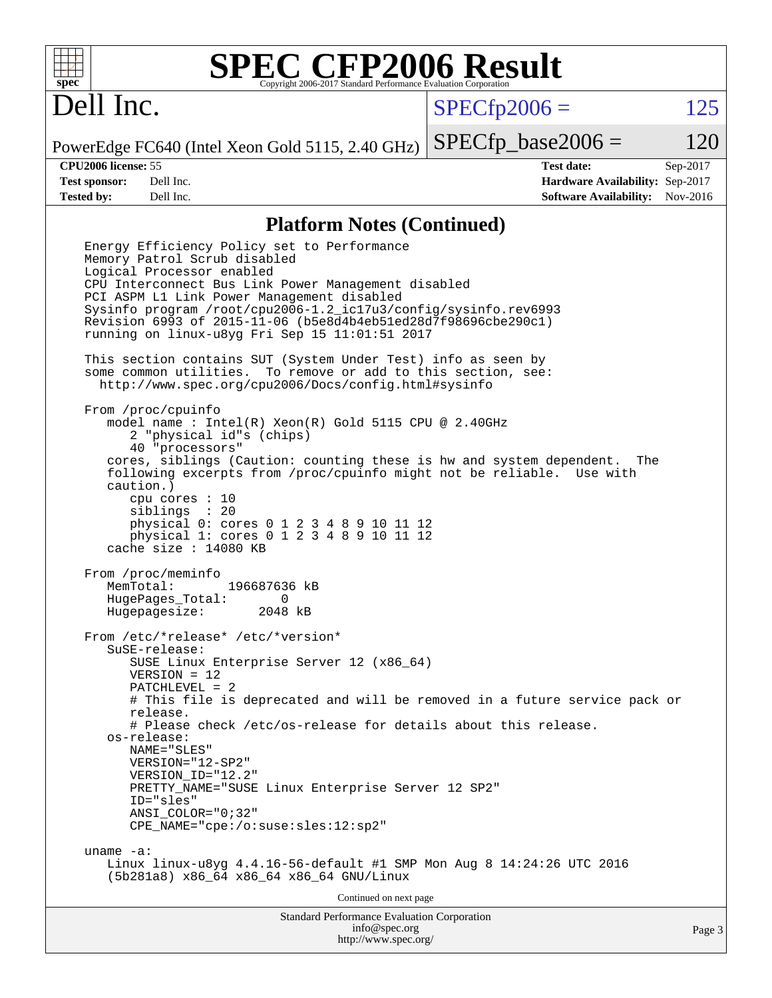

## Dell Inc.

 $SPECTp2006 = 125$ 

PowerEdge FC640 (Intel Xeon Gold 5115, 2.40 GHz)  $SPECTp\_base2006 = 120$ 

**[CPU2006 license:](http://www.spec.org/auto/cpu2006/Docs/result-fields.html#CPU2006license)** 55 **[Test date:](http://www.spec.org/auto/cpu2006/Docs/result-fields.html#Testdate)** Sep-2017 **[Test sponsor:](http://www.spec.org/auto/cpu2006/Docs/result-fields.html#Testsponsor)** Dell Inc. **[Hardware Availability:](http://www.spec.org/auto/cpu2006/Docs/result-fields.html#HardwareAvailability)** Sep-2017 **[Tested by:](http://www.spec.org/auto/cpu2006/Docs/result-fields.html#Testedby)** Dell Inc. **[Software Availability:](http://www.spec.org/auto/cpu2006/Docs/result-fields.html#SoftwareAvailability)** Nov-2016

#### **[Platform Notes \(Continued\)](http://www.spec.org/auto/cpu2006/Docs/result-fields.html#PlatformNotes)**

Standard Performance Evaluation Corporation [info@spec.org](mailto:info@spec.org) Energy Efficiency Policy set to Performance Memory Patrol Scrub disabled Logical Processor enabled CPU Interconnect Bus Link Power Management disabled PCI ASPM L1 Link Power Management disabled Sysinfo program /root/cpu2006-1.2\_ic17u3/config/sysinfo.rev6993 Revision 6993 of 2015-11-06 (b5e8d4b4eb51ed28d7f98696cbe290c1) running on linux-u8yg Fri Sep 15 11:01:51 2017 This section contains SUT (System Under Test) info as seen by some common utilities. To remove or add to this section, see: <http://www.spec.org/cpu2006/Docs/config.html#sysinfo> From /proc/cpuinfo model name : Intel(R) Xeon(R) Gold 5115 CPU @ 2.40GHz 2 "physical id"s (chips) 40 "processors" cores, siblings (Caution: counting these is hw and system dependent. The following excerpts from /proc/cpuinfo might not be reliable. Use with caution.) cpu cores : 10 siblings : 20 physical 0: cores 0 1 2 3 4 8 9 10 11 12 physical 1: cores 0 1 2 3 4 8 9 10 11 12 cache size : 14080 KB From /proc/meminfo MemTotal: 196687636 kB HugePages\_Total: 0 Hugepagesize: 2048 kB From /etc/\*release\* /etc/\*version\* SuSE-release: SUSE Linux Enterprise Server 12 (x86\_64) VERSION = 12 PATCHLEVEL = 2 # This file is deprecated and will be removed in a future service pack or release. # Please check /etc/os-release for details about this release. os-release: NAME="SLES" VERSION="12-SP2" VERSION\_ID="12.2" PRETTY NAME="SUSE Linux Enterprise Server 12 SP2" ID="sles" ANSI\_COLOR="0;32" CPE\_NAME="cpe:/o:suse:sles:12:sp2" uname -a: Linux linux-u8yg 4.4.16-56-default #1 SMP Mon Aug 8 14:24:26 UTC 2016 (5b281a8) x86\_64 x86\_64 x86\_64 GNU/Linux Continued on next page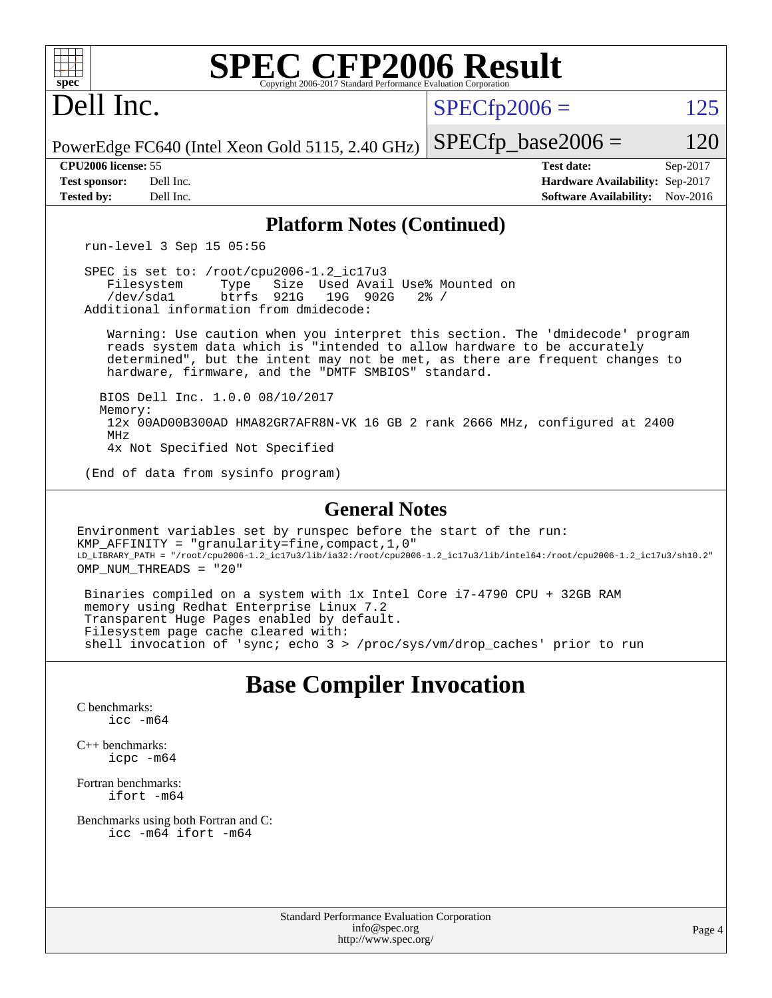| <b>SPEC CFP2006 Result</b><br>$spec^*$<br>Copyright 2006-2017 Standard Performance Evaluation Corporation                                                                                                                                                                                       |                                                                                                            |
|-------------------------------------------------------------------------------------------------------------------------------------------------------------------------------------------------------------------------------------------------------------------------------------------------|------------------------------------------------------------------------------------------------------------|
| Dell Inc.                                                                                                                                                                                                                                                                                       | $SPECfp2006 =$<br>125                                                                                      |
| PowerEdge FC640 (Intel Xeon Gold 5115, 2.40 GHz)                                                                                                                                                                                                                                                | $SPECfp\_base2006 =$<br>120                                                                                |
| CPU2006 license: 55<br>Dell Inc.<br><b>Test sponsor:</b><br><b>Tested by:</b><br>Dell Inc.                                                                                                                                                                                                      | <b>Test date:</b><br>Sep-2017<br>Hardware Availability: Sep-2017<br><b>Software Availability:</b> Nov-2016 |
| <b>Platform Notes (Continued)</b>                                                                                                                                                                                                                                                               |                                                                                                            |
| run-level 3 Sep 15 05:56                                                                                                                                                                                                                                                                        |                                                                                                            |
| SPEC is set to: /root/cpu2006-1.2_ic17u3<br>Filesystem<br>Size Used Avail Use% Mounted on<br>Type<br>btrfs 921G<br>19G 902G<br>/dev/sda1<br>Additional information from dmidecode:                                                                                                              | $2\frac{8}{1}$ /                                                                                           |
| Warning: Use caution when you interpret this section. The 'dmidecode' program<br>reads system data which is "intended to allow hardware to be accurately<br>determined", but the intent may not be met, as there are frequent changes to<br>hardware, firmware, and the "DMTF SMBIOS" standard. |                                                                                                            |
| BIOS Dell Inc. 1.0.0 08/10/2017<br>Memory:<br>12x 00AD00B300AD HMA82GR7AFR8N-VK 16 GB 2 rank 2666 MHz, configured at 2400<br>MHz<br>4x Not Specified Not Specified                                                                                                                              |                                                                                                            |
| (End of data from sysinfo program)                                                                                                                                                                                                                                                              |                                                                                                            |
| <b>General Notes</b>                                                                                                                                                                                                                                                                            |                                                                                                            |
| Environment variables set by runspec before the start of the run:<br>KMP_AFFINITY = "granularity=fine, compact, 1, 0"<br>LD_LIBRARY_PATH = "/root/cpu2006-1.2_ic17u3/lib/ia32:/root/cpu2006-1.2_ic17u3/lib/intel64:/root/cpu2006-1.2_ic17u3/sh10.2"<br>OMP NUM THREADS = "20"                   |                                                                                                            |
| Binaries compiled on a system with 1x Intel Core i7-4790 CPU + 32GB RAM<br>memory using Redhat Enterprise Linux 7.2<br>Transparent Huge Pages enabled by default.<br>Filesystem page cache cleared with:<br>shell invocation of 'sync; echo 3 > /proc/sys/vm/drop_caches' prior to run          |                                                                                                            |
| <b>Base Compiler Invocation</b><br>C benchmarks:                                                                                                                                                                                                                                                |                                                                                                            |

[icc -m64](http://www.spec.org/cpu2006/results/res2017q4/cpu2006-20170918-49851.flags.html#user_CCbase_intel_icc_64bit_bda6cc9af1fdbb0edc3795bac97ada53)

[C++ benchmarks:](http://www.spec.org/auto/cpu2006/Docs/result-fields.html#CXXbenchmarks) [icpc -m64](http://www.spec.org/cpu2006/results/res2017q4/cpu2006-20170918-49851.flags.html#user_CXXbase_intel_icpc_64bit_fc66a5337ce925472a5c54ad6a0de310)

[Fortran benchmarks](http://www.spec.org/auto/cpu2006/Docs/result-fields.html#Fortranbenchmarks): [ifort -m64](http://www.spec.org/cpu2006/results/res2017q4/cpu2006-20170918-49851.flags.html#user_FCbase_intel_ifort_64bit_ee9d0fb25645d0210d97eb0527dcc06e)

[Benchmarks using both Fortran and C](http://www.spec.org/auto/cpu2006/Docs/result-fields.html#BenchmarksusingbothFortranandC): [icc -m64](http://www.spec.org/cpu2006/results/res2017q4/cpu2006-20170918-49851.flags.html#user_CC_FCbase_intel_icc_64bit_bda6cc9af1fdbb0edc3795bac97ada53) [ifort -m64](http://www.spec.org/cpu2006/results/res2017q4/cpu2006-20170918-49851.flags.html#user_CC_FCbase_intel_ifort_64bit_ee9d0fb25645d0210d97eb0527dcc06e)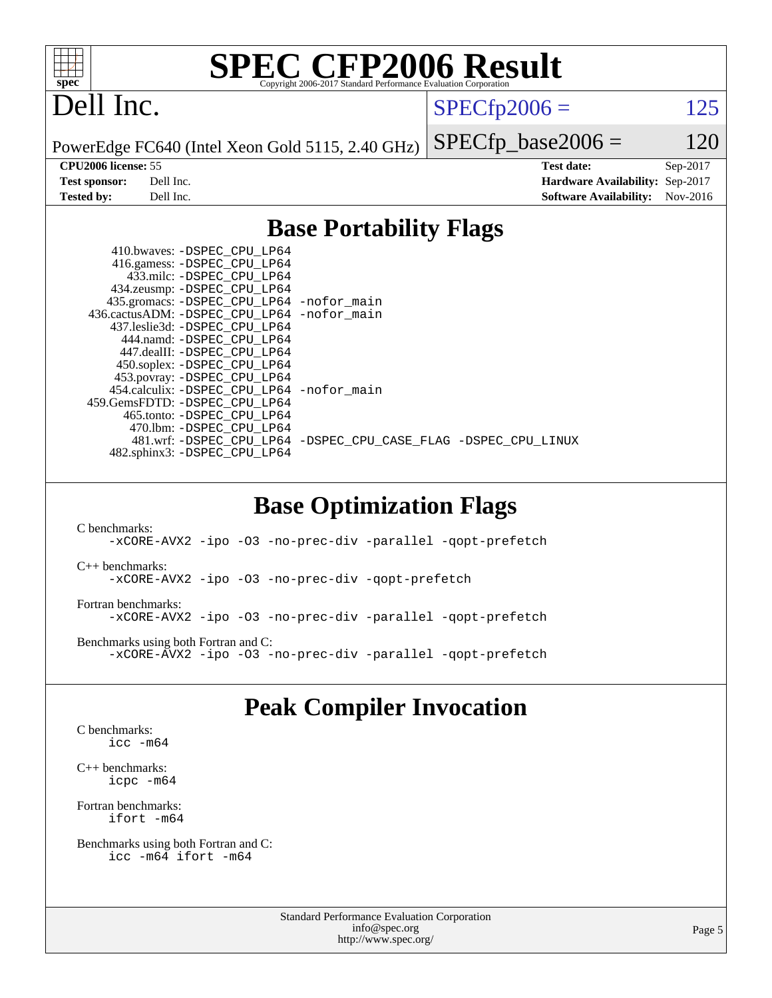

## Dell Inc.

 $SPECTp2006 = 125$ 

PowerEdge FC640 (Intel Xeon Gold 5115, 2.40 GHz)

 $SPECfp\_base2006 = 120$ **[CPU2006 license:](http://www.spec.org/auto/cpu2006/Docs/result-fields.html#CPU2006license)** 55 **[Test date:](http://www.spec.org/auto/cpu2006/Docs/result-fields.html#Testdate)** Sep-2017 **[Test sponsor:](http://www.spec.org/auto/cpu2006/Docs/result-fields.html#Testsponsor)** Dell Inc. **[Hardware Availability:](http://www.spec.org/auto/cpu2006/Docs/result-fields.html#HardwareAvailability)** Sep-2017 **[Tested by:](http://www.spec.org/auto/cpu2006/Docs/result-fields.html#Testedby)** Dell Inc. **[Software Availability:](http://www.spec.org/auto/cpu2006/Docs/result-fields.html#SoftwareAvailability)** Nov-2016

### **[Base Portability Flags](http://www.spec.org/auto/cpu2006/Docs/result-fields.html#BasePortabilityFlags)**

| 410.bwaves: -DSPEC CPU LP64                 |                                                                |
|---------------------------------------------|----------------------------------------------------------------|
| 416.gamess: -DSPEC_CPU_LP64                 |                                                                |
| 433.milc: -DSPEC CPU LP64                   |                                                                |
| 434.zeusmp: -DSPEC_CPU_LP64                 |                                                                |
| 435.gromacs: -DSPEC_CPU_LP64 -nofor_main    |                                                                |
| 436.cactusADM: -DSPEC CPU LP64 -nofor main  |                                                                |
| 437.leslie3d: -DSPEC CPU LP64               |                                                                |
| 444.namd: -DSPEC CPU LP64                   |                                                                |
| 447.dealII: -DSPEC_CPU LP64                 |                                                                |
| 450.soplex: -DSPEC_CPU_LP64                 |                                                                |
| 453.povray: -DSPEC_CPU_LP64                 |                                                                |
| 454.calculix: - DSPEC CPU LP64 - nofor main |                                                                |
| 459. GemsFDTD: - DSPEC CPU LP64             |                                                                |
| 465.tonto: - DSPEC CPU LP64                 |                                                                |
| 470.1bm: - DSPEC CPU LP64                   |                                                                |
|                                             | 481.wrf: -DSPEC CPU LP64 -DSPEC CPU CASE FLAG -DSPEC CPU LINUX |
| 482.sphinx3: -DSPEC_CPU_LP64                |                                                                |

### **[Base Optimization Flags](http://www.spec.org/auto/cpu2006/Docs/result-fields.html#BaseOptimizationFlags)**

[C benchmarks](http://www.spec.org/auto/cpu2006/Docs/result-fields.html#Cbenchmarks): [-xCORE-AVX2](http://www.spec.org/cpu2006/results/res2017q4/cpu2006-20170918-49851.flags.html#user_CCbase_f-xCORE-AVX2) [-ipo](http://www.spec.org/cpu2006/results/res2017q4/cpu2006-20170918-49851.flags.html#user_CCbase_f-ipo) [-O3](http://www.spec.org/cpu2006/results/res2017q4/cpu2006-20170918-49851.flags.html#user_CCbase_f-O3) [-no-prec-div](http://www.spec.org/cpu2006/results/res2017q4/cpu2006-20170918-49851.flags.html#user_CCbase_f-no-prec-div) [-parallel](http://www.spec.org/cpu2006/results/res2017q4/cpu2006-20170918-49851.flags.html#user_CCbase_f-parallel) [-qopt-prefetch](http://www.spec.org/cpu2006/results/res2017q4/cpu2006-20170918-49851.flags.html#user_CCbase_f-qopt-prefetch) [C++ benchmarks:](http://www.spec.org/auto/cpu2006/Docs/result-fields.html#CXXbenchmarks) [-xCORE-AVX2](http://www.spec.org/cpu2006/results/res2017q4/cpu2006-20170918-49851.flags.html#user_CXXbase_f-xCORE-AVX2) [-ipo](http://www.spec.org/cpu2006/results/res2017q4/cpu2006-20170918-49851.flags.html#user_CXXbase_f-ipo) [-O3](http://www.spec.org/cpu2006/results/res2017q4/cpu2006-20170918-49851.flags.html#user_CXXbase_f-O3) [-no-prec-div](http://www.spec.org/cpu2006/results/res2017q4/cpu2006-20170918-49851.flags.html#user_CXXbase_f-no-prec-div) [-qopt-prefetch](http://www.spec.org/cpu2006/results/res2017q4/cpu2006-20170918-49851.flags.html#user_CXXbase_f-qopt-prefetch) [Fortran benchmarks](http://www.spec.org/auto/cpu2006/Docs/result-fields.html#Fortranbenchmarks): [-xCORE-AVX2](http://www.spec.org/cpu2006/results/res2017q4/cpu2006-20170918-49851.flags.html#user_FCbase_f-xCORE-AVX2) [-ipo](http://www.spec.org/cpu2006/results/res2017q4/cpu2006-20170918-49851.flags.html#user_FCbase_f-ipo) [-O3](http://www.spec.org/cpu2006/results/res2017q4/cpu2006-20170918-49851.flags.html#user_FCbase_f-O3) [-no-prec-div](http://www.spec.org/cpu2006/results/res2017q4/cpu2006-20170918-49851.flags.html#user_FCbase_f-no-prec-div) [-parallel](http://www.spec.org/cpu2006/results/res2017q4/cpu2006-20170918-49851.flags.html#user_FCbase_f-parallel) [-qopt-prefetch](http://www.spec.org/cpu2006/results/res2017q4/cpu2006-20170918-49851.flags.html#user_FCbase_f-qopt-prefetch) [Benchmarks using both Fortran and C](http://www.spec.org/auto/cpu2006/Docs/result-fields.html#BenchmarksusingbothFortranandC): [-xCORE-AVX2](http://www.spec.org/cpu2006/results/res2017q4/cpu2006-20170918-49851.flags.html#user_CC_FCbase_f-xCORE-AVX2) [-ipo](http://www.spec.org/cpu2006/results/res2017q4/cpu2006-20170918-49851.flags.html#user_CC_FCbase_f-ipo) [-O3](http://www.spec.org/cpu2006/results/res2017q4/cpu2006-20170918-49851.flags.html#user_CC_FCbase_f-O3) [-no-prec-div](http://www.spec.org/cpu2006/results/res2017q4/cpu2006-20170918-49851.flags.html#user_CC_FCbase_f-no-prec-div) [-parallel](http://www.spec.org/cpu2006/results/res2017q4/cpu2006-20170918-49851.flags.html#user_CC_FCbase_f-parallel) [-qopt-prefetch](http://www.spec.org/cpu2006/results/res2017q4/cpu2006-20170918-49851.flags.html#user_CC_FCbase_f-qopt-prefetch)

### **[Peak Compiler Invocation](http://www.spec.org/auto/cpu2006/Docs/result-fields.html#PeakCompilerInvocation)**

[C benchmarks](http://www.spec.org/auto/cpu2006/Docs/result-fields.html#Cbenchmarks): [icc -m64](http://www.spec.org/cpu2006/results/res2017q4/cpu2006-20170918-49851.flags.html#user_CCpeak_intel_icc_64bit_bda6cc9af1fdbb0edc3795bac97ada53)

[C++ benchmarks:](http://www.spec.org/auto/cpu2006/Docs/result-fields.html#CXXbenchmarks) [icpc -m64](http://www.spec.org/cpu2006/results/res2017q4/cpu2006-20170918-49851.flags.html#user_CXXpeak_intel_icpc_64bit_fc66a5337ce925472a5c54ad6a0de310)

[Fortran benchmarks](http://www.spec.org/auto/cpu2006/Docs/result-fields.html#Fortranbenchmarks): [ifort -m64](http://www.spec.org/cpu2006/results/res2017q4/cpu2006-20170918-49851.flags.html#user_FCpeak_intel_ifort_64bit_ee9d0fb25645d0210d97eb0527dcc06e)

[Benchmarks using both Fortran and C](http://www.spec.org/auto/cpu2006/Docs/result-fields.html#BenchmarksusingbothFortranandC): [icc -m64](http://www.spec.org/cpu2006/results/res2017q4/cpu2006-20170918-49851.flags.html#user_CC_FCpeak_intel_icc_64bit_bda6cc9af1fdbb0edc3795bac97ada53) [ifort -m64](http://www.spec.org/cpu2006/results/res2017q4/cpu2006-20170918-49851.flags.html#user_CC_FCpeak_intel_ifort_64bit_ee9d0fb25645d0210d97eb0527dcc06e)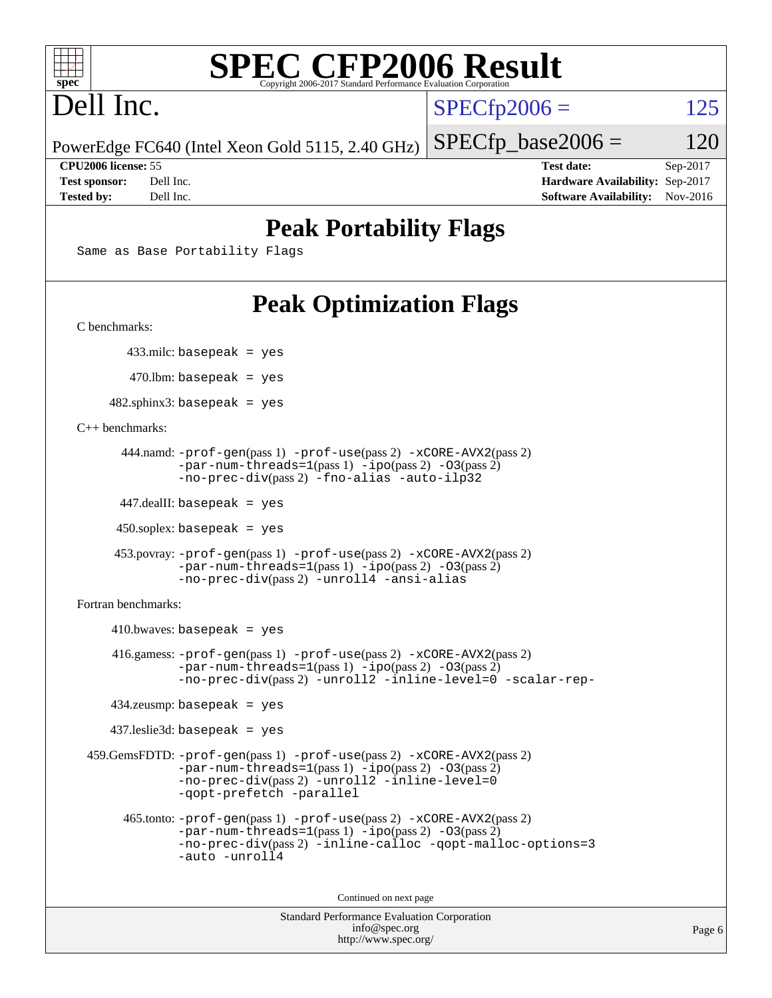

# Dell Inc.

 $SPECTp2006 = 125$ 

PowerEdge FC640 (Intel Xeon Gold 5115, 2.40 GHz)

**[CPU2006 license:](http://www.spec.org/auto/cpu2006/Docs/result-fields.html#CPU2006license)** 55 **[Test date:](http://www.spec.org/auto/cpu2006/Docs/result-fields.html#Testdate)** Sep-2017 **[Test sponsor:](http://www.spec.org/auto/cpu2006/Docs/result-fields.html#Testsponsor)** Dell Inc. **[Hardware Availability:](http://www.spec.org/auto/cpu2006/Docs/result-fields.html#HardwareAvailability)** Sep-2017 **[Tested by:](http://www.spec.org/auto/cpu2006/Docs/result-fields.html#Testedby)** Dell Inc. **[Software Availability:](http://www.spec.org/auto/cpu2006/Docs/result-fields.html#SoftwareAvailability)** Nov-2016

 $SPECTp\_base2006 = 120$ 

## **[Peak Portability Flags](http://www.spec.org/auto/cpu2006/Docs/result-fields.html#PeakPortabilityFlags)**

Same as Base Portability Flags

## **[Peak Optimization Flags](http://www.spec.org/auto/cpu2006/Docs/result-fields.html#PeakOptimizationFlags)**

[C benchmarks](http://www.spec.org/auto/cpu2006/Docs/result-fields.html#Cbenchmarks):

433.milc: basepeak = yes

470.lbm: basepeak = yes

 $482$ .sphinx3: basepeak = yes

[C++ benchmarks:](http://www.spec.org/auto/cpu2006/Docs/result-fields.html#CXXbenchmarks)

```
 444.namd: -prof-gen(pass 1) -prof-use(pass 2) -xCORE-AVX2(pass 2)
      -par-num-threads=1-ipo-O3(pass 2)-no-prec-div(pass 2) -fno-alias -auto-ilp32
```
447.dealII: basepeak = yes

 $450$ .soplex: basepeak = yes

```
 453.povray: -prof-gen(pass 1) -prof-use(pass 2) -xCORE-AVX2(pass 2)
        -par-num-threads=1-ipo-O3(pass 2)-no-prec-div(pass 2) -unroll4 -ansi-alias
```
[Fortran benchmarks](http://www.spec.org/auto/cpu2006/Docs/result-fields.html#Fortranbenchmarks):

```
410.bwaves: basepeak = yes 416.gamess: -prof-gen(pass 1) -prof-use(pass 2) -xCORE-AVX2(pass 2)
            -par-num-threads=1-ipo-O3(pass 2)-no-prec-div(pass 2) -unroll2 -inline-level=0 -scalar-rep-
   434.zeusmp: basepeak = yes
   437.leslie3d: basepeak = yes
459.GemsFDTD: -prof-gen(pass 1) -prof-use(pass 2) -xCORE-AVX2(pass 2)
            -par-num-threads=1(pass 1) -ipo(pass 2) -O3(pass 2)
            -no-prec-div(pass 2) -unroll2 -inline-level=0
            -qopt-prefetch -parallel
     465.tonto: -prof-gen(pass 1) -prof-use(pass 2) -xCORE-AVX2(pass 2)
            -par-num-threads=1(pass 1) -ipo(pass 2) -O3(pass 2)
            -no-prec-div-inline-calloc-qopt-malloc-options=3
            -auto -unroll4
```
Continued on next page

```
Standard Performance Evaluation Corporation
            info@spec.org
          http://www.spec.org/
```